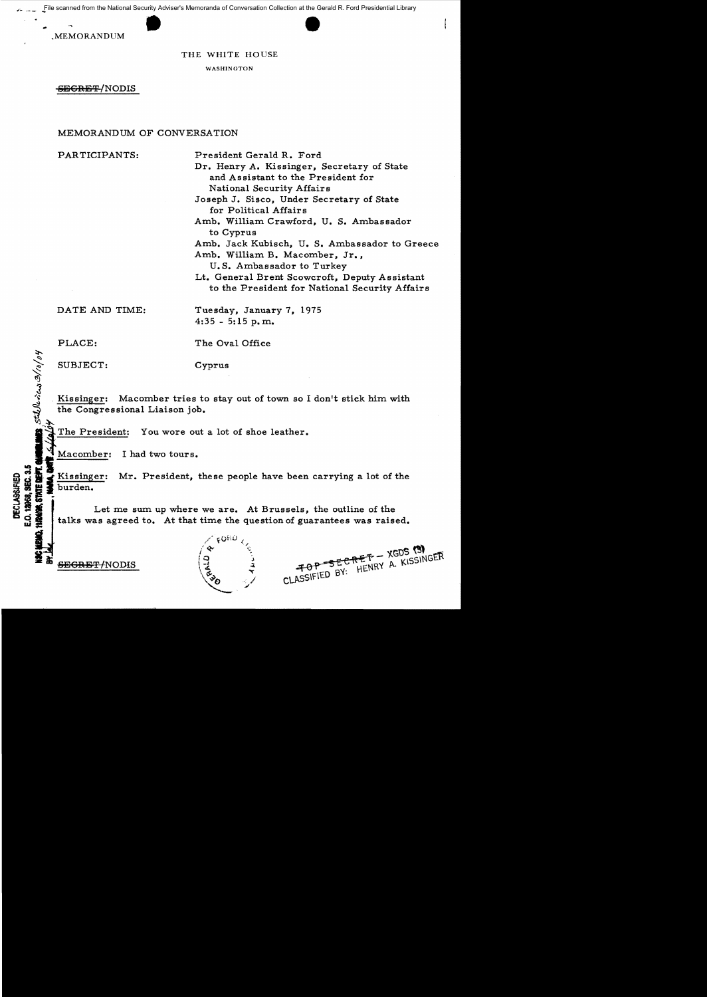File scanned from the National Security Adviser's Memoranda of Conversation Collection at the Gerald R. Ford Presidential Library<br>
MEMORANDUM<br>
THE WHITE HOUSE

## THE WHITE HOUSE

WASHINGTON

SEGRET/NODIS

## MEMORANDUM OF CONVERSATION

PARTICIPANTS: President Gerald R. Ford Dr. Henry A. Kissinger, Secretary of State and Assistant to the President for National Security Affairs Joseph J. Sisco, Under Secretary of State for Political Affairs

Amb. William Crawford, U. S. Ambassador to Cyprus Amb. Jack Kubisch, U. S. Ambassador to Greece Amb. William B. Macomber, Jr., U. S. Ambassador to Turkey Lt. General Brent Scowcroft, Deputy Assistant to the President for National Security Affairs

DATE AND TIME: Tuesday, January 7, 1975 4:35 - 5:15 p.m.

 $h$ 0/0

J س<br>محمد

DECLASSIFIED<br>E.O. 12668, SEC. 3.5

PLACE: The Oval Office

SUBJECT: Cyprus

Kissinger: Macomber tries to stay out of town so I don't stick him with the Congressional Liaison job.

The President: You wore out a lot of shoe leather.<br>Macomber: I had two tours.

Xissinger: Mr. President, these people have been carrying a lot of the burden.<br>
Let me sum up where we are. At Brussels, the outline of the talks was agreed to. At that time the question of guarantees was raised. Let me sum up where we are. At Brussels, the outline of the talks was agreed to. At that time the question of guarantees was raised.



 $60$  $/$   $\bullet$   $\circ$   $\circ$ *i* 0 "J  $\mathbf{z}$   $\mathbf{z}$  $\sqrt{a}$   $\sqrt{a}$  $\vee$  $\mathcal{L}$  . If

SECRET - XGDS (3) FOP SECRET - XGDS (S)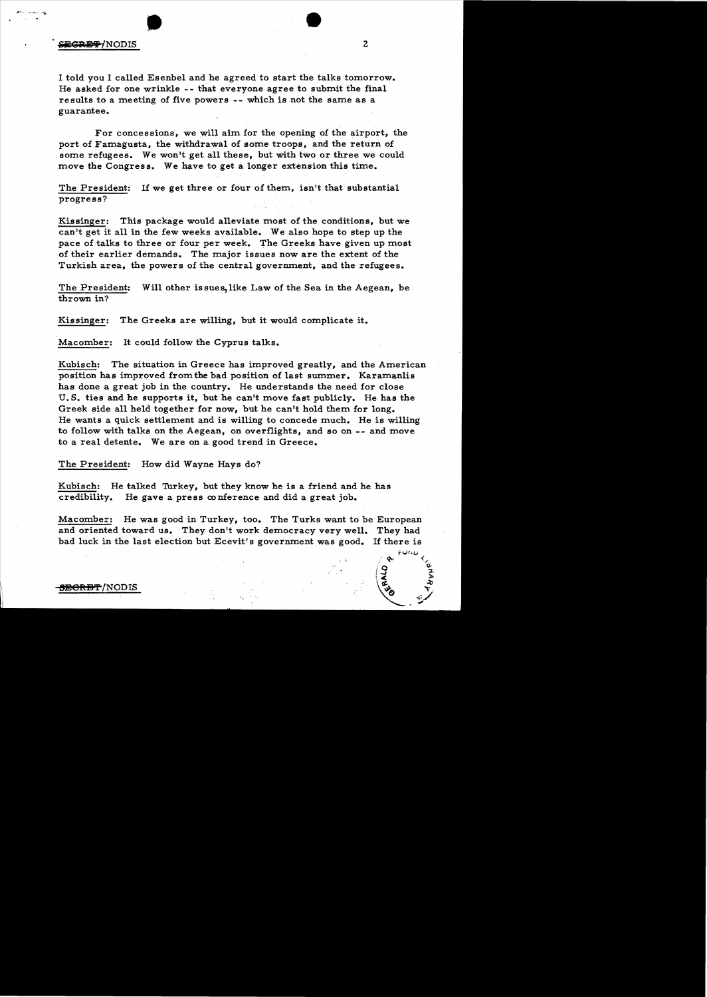## **EXTERNAL SECTIONS**

I told you I called Esenbel and he agreed to start the talks tomorrow. He asked for one wrinkle -- that everyone agree to submit the final results to a meeting of five powers -- which is not the same as a guarantee.

For concessions, we will aim for the opening of the airport; the port of Famagusta, the withdrawal of some troops, and the return of some refugees. We won't get all these, but with two or three we could move the Congress. We have to get a longer extension this time.

The President: If we get three or four of them, isn't that substantial progress?

Kissinger: This package would alleviate most of the conditions, but we can't get it all in the few weeks available. We also hope to step up the pace of talks to three or four per week. The Greeks have given up most of their earlier demands. The major issues now are the extent of the Turkish area, the powers of the central government, and the refugees.

The President: Will other issues,like Law of the Sea in the Aegean, be thrown in?

Kissinger: The Greeks are willing, but it would complicate it.

Macomber: It could follow the Cyprus talks.

Kubisch: The situation in Greece has improved greatly, and the American position has improved from the bad position of last summer. Karamanlis has done a great job in the country. He understands the need for close U. S. ties and he supports it, but he can't move fast publicly. He has the Greek side all held together for now, but he can't hold them for long. He wants a quick settlement and is willing to concede much. He is willing to follow with talks on the Aegean, on overflights, and so on -- and move to a real detente. We are on a good trend in Greece.

The President: How did Wayne Hays do?

Kubisch: He talked Turkey, but they know he is a friend and he has credibility. He gave a press conference and did a great job.

Macomber: He was good in Turkey, too. The Turks want to be European and oriented toward us. They don't work democracy very well. They had bad luck in the last election but Ecevit's government was good. If there is

<del>SECRET</del>/NODIS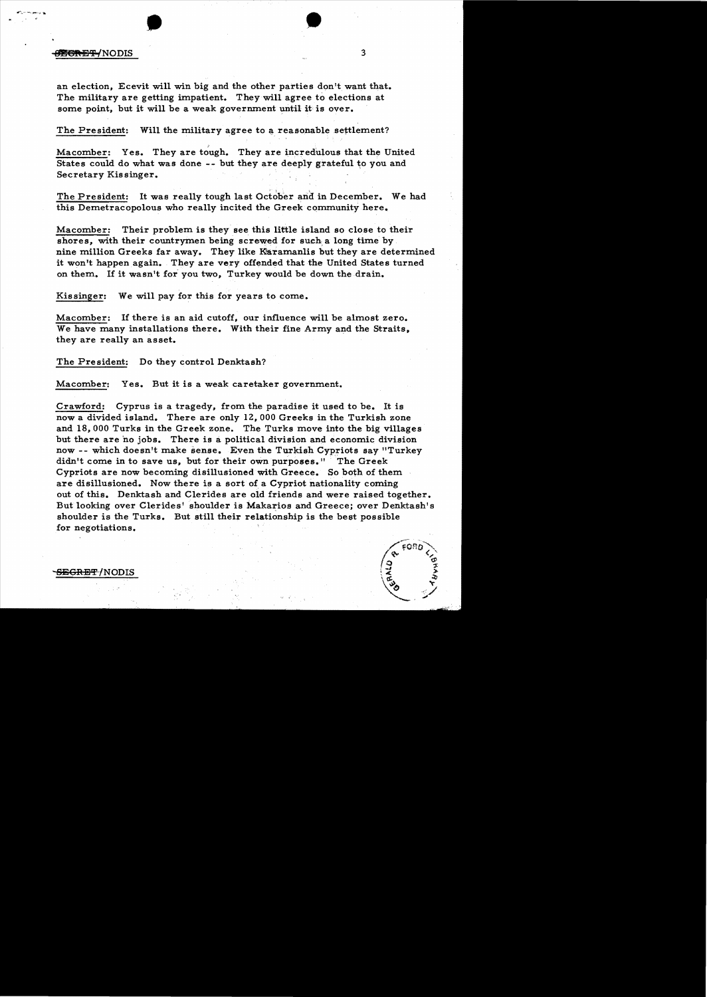# • • ~13'¥-1NODIS <sup>3</sup>

an election, Ecevit will win big and the other parties don't want that. The military are getting impatient. They will agree to elections at some point, but it will be a weak government until it is over.

The President: Will the military agree to a reasonable settlement?

Macomber: Yes. They are tough. They are incredulous that the United States could do what was done -- but they are deeply grateful to you and Secretary Kissinger.

The President: It was really tough last October and in December. We had this Demetracopolous who really incited the Greek community here.

Macomber: Their problem is they see this little island so close to their shores, with their countrymen being screwed for such a long time by. nine million Greeks far away. They like Karamanlis but they are determined it won't happen again. They are very offended that the United States turned on them. If it wasn't for you two. Turkey would be down the drain.

Kissinger: We will pay for this for years to come.

Macomber: If there is an aid cutoff, our influence will be almost zero. We have many installations there. With their fine Army and the Straits. they are really an asset.

The President: Do they control Denktash?

Macomber: Yes. But it is a weak caretaker government.

Crawford: Cyprus is a tragedy, from the paradise it used to be. It is now a divided island. There are only 12,000 Greeks in the Turkish zone and 18,000 Turks in the Greek zone. The Turks move into the big villages but there are no jobs. There is a political division and economic division now -- which doesn't make sense. Even the Turkish Cypriots say "Turkey didn't come in to save us, but for their own purposes." The Greek Cypriots are now becoming disillusioned with Greece. So both of them are disillusioned. Now there is a sort of a Cypriot nationality coming out of this. Denktash and Clerides are old friends and were raised together. But looking over Clerides' shoulder is Makarios and Greece; over Denktash's shoulder is the Turks. But still their relationship is the best possible for negotiations.

<del>SEGRET</del> /NODIS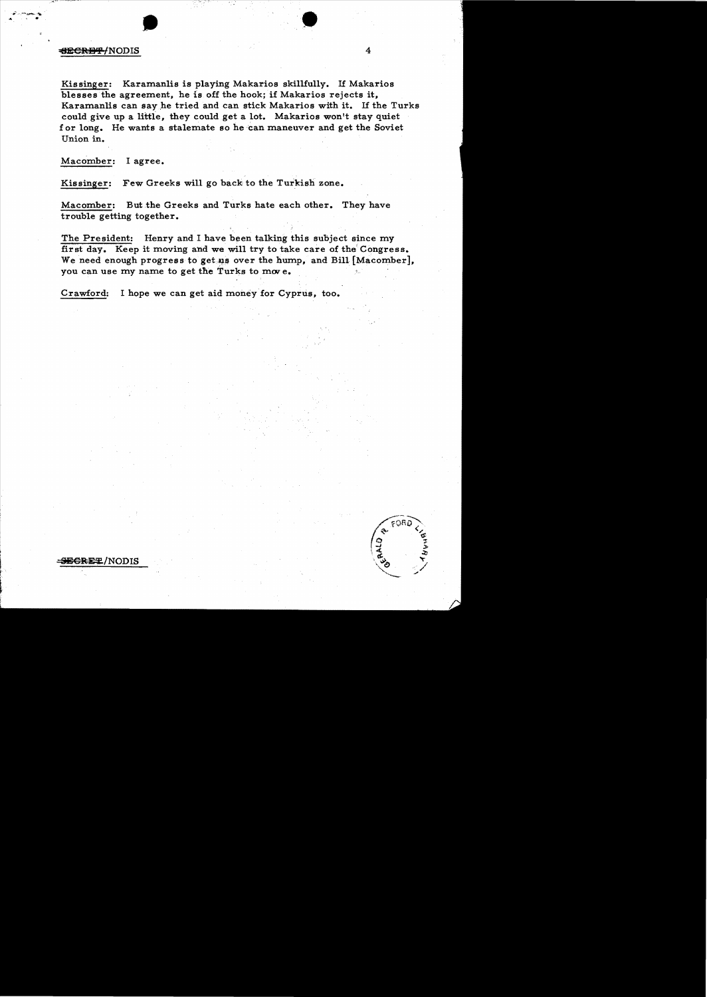### 1: **1:** The set of the set of the set of the set of the set of the set of the set of the set of the set of the set of the set of the set of the set of the set of the set of the set of the set of the set of the set of the s

Kissinger: Karamanlis is playing Makarios skillfully. If Makarios blesses the agreement, he is off the hook; if Makarios rejects it, Karamanlis can say he tried and can stick Makarios with it. If the Turks could give up a little, they could get a lot. Makarios won't stay quiet f or long. He wants a stalemate so he 'can maneuver and get the Soviet Union in.

•

Macomber: I agree.

Kissinger: Few Greeks will go back to the Turkish zone.

•

Macomber: But the Greeks and Turks hate each other. They have trouble getting together.

The President: Henry and I have been talking this subject since my first day. Keep it moving and we will try to take care of the' Congress. We need enough progress to get us over the hump, and Bill [Macomber], you can use my name to get the Turks to move.

Crawford: I hope we can get aid money for Cyprus, too.

**SEGRET/NODIS**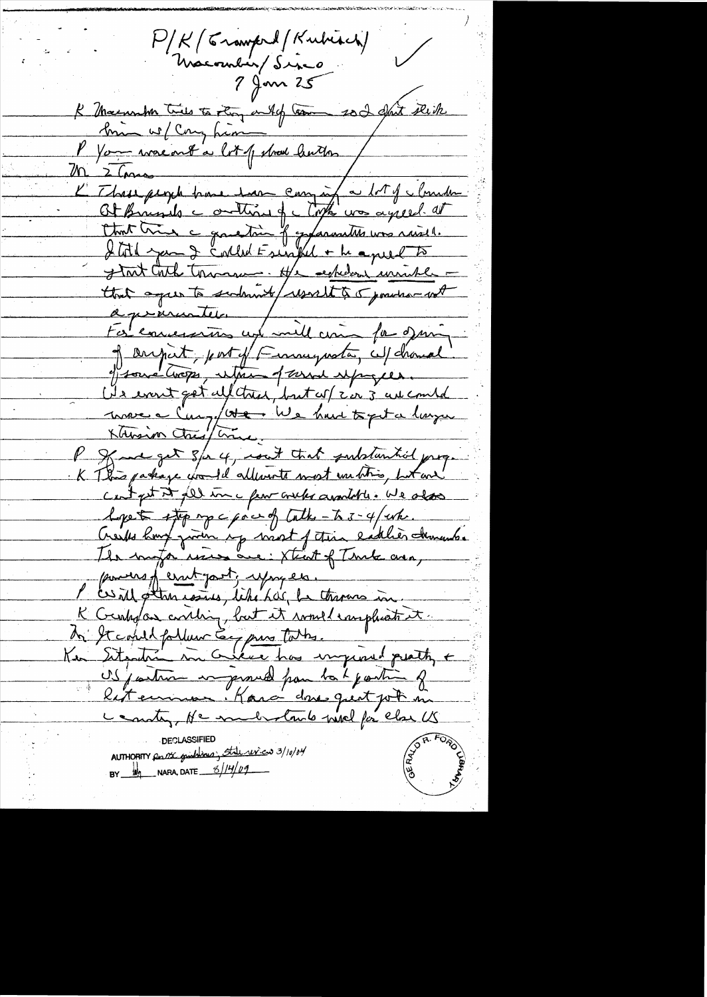P/K/ Crawford / Kubisch)  $\sqrt{2}$ Macombien/Sinco<br>7 Jan 25 K Macaunhen tries to story outof tom soit pluste P You was out a lot of show hutton / M 2 Comes L'Ibres people base sont company a lot of cloude Chat très a gauchère fogganation une raise. that agree to sudent werelt to 5 position with à préventer / 100 pour of angust, port of Finneywater, cul chanal efformé Crops, entre 1 avril espages. (Is event get uf tree, but of c'er 3 av combd marc à Cong/at il e have topet à large P gave get s/a 4, cout that publication prop. K This parkage for Id allowents most untition but and cent pet it fill inc pour crubs available. We also Lope to stop mpc point of Cathe-to 3-4/wh. Creeks have given up wast of this lattle churches The motor wires are: Xtent of Turk area, powers of errit part, you en. ces il otten cosses, like has be throwns in. K Gentral as everthing, but it would complicate it. In It could follow Eg purs todas. US joutin in provid pour to b joutin of litermens. Rara dons quit job in country, Ne medistributed piece else US AUTHORITY Res me graphiques State review 3/10/04 BY  $\frac{1}{2}$  NARA, DATE  $\frac{6}{14}$  09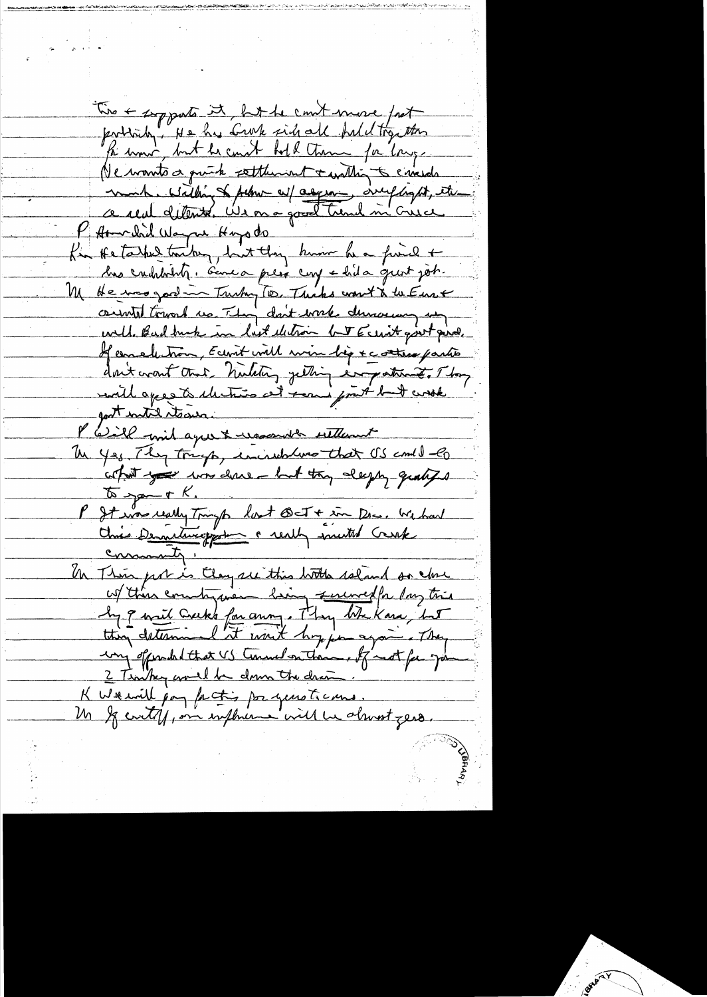Two + supports it but he count more fast portrida, He has brook side all hald try the fa uni, but he count hold them for large Ne wonto a quick settlement + within to energy mont. Within of februr av/ asyming drug light, etc. P At related Wayne Hoyado "<br>La He take toute, but they hum he find + M He was good in Trushy To, This won't & the Euse consulted toward us. They don't work durante un eville Bad burk in list electron but Ecenit goot piral. If conclution, Ecevit will win by + cottan partie don't creat that timetry getting important. They unit agree à dertier at remi pout but work gost intil stears. P Will with agree & was with sitternt Un yes They tough, incredibling that US comed -60 cohat you was done - but they deeply qualited  $\sqrt{a}$  you + K. P It une really Tright lost Bet + in Dec. We had commenty " Un This port is they see this lotter reland on close W then country we bring survey for lay time<br>In 9 mil Creeks for anny. They the Kara, but ing of production US Commediantement for the go 2 Timber would be down the draw K Weavill pay facting por years to cars. In If could, on influence will be alward zero.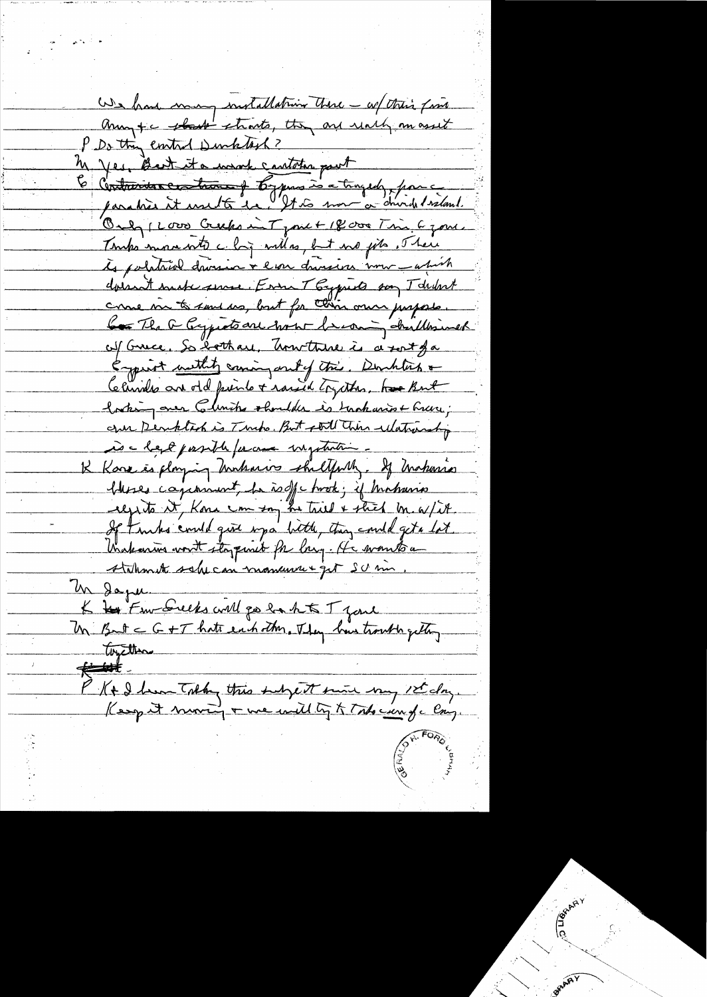We have many installation there - w/ this fine any +c that thats, they are reach an asset P Do this ented Durktish? M yes, Bart it a want cantator pout Contrains contractes for pas is a tragedy pour paraties it use to be the more or durch I salant. Only 1 Love Crucks in Tyme + 18 000 Time 6 jours Tomps more with chy will no fit we git . There to political droin + ever draine une -april dorsant such surse. Erra T Eyputs son T druhot come me to sand us, but for this own propose. Com The a Capita are now becoming childrines of Grece, So lothare, Unitare is a sort fa Empirit methits caning and of this. Doublis & Christia are old prints + raised trythes. have kut bothing ones Climite shoulder is trackaries + here, cree Derktack is Turko. But still This ulatranship is a lego pasible parame inquintin. K Kara is playing Ankaris shiltfully. If Makaria bleses capanisent, he is off chook; if histories regits it, Kong can say he tried & stick br. a/it. If trubs could give up a bitte, they could get a lot Viakarins vont stapmet for larg. He wants a Atalhmente sobre con momente que su un Un daper K to Few Seeks will go he hts T jours toyethere  $#$ P K & hem Tolky this subject sune my 1st day.